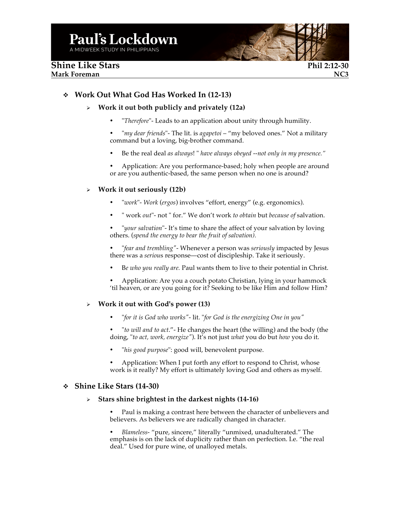# v **Work Out What God Has Worked In (12-13)**

### Ø **Work it out both publicly and privately (12a)**

- "*Therefore*"- Leads to an application about unity through humility.
- "*my dear friends*"- The lit. is *agapetoi* "my beloved ones." Not a military command but a loving, big-brother command.
- Be the real deal *as always*! " *have always obeyed --not only in my presence."*
- Application: Are you performance-based; holy when people are around or are you authentic-based, the same person when no one is around?

#### Ø **Work it out seriously (12b)**

- "*work*"- *Work* (*ergos*) involves "effort, energy" (e.g. ergonomics).
- " work *out*"- not " for." We don't work *to obtain* but *because of* salvation.

• "*your salvation*"- It's time to share the affect of your salvation by loving others. (*spend the energy to bear the fruit of salvation).*

- "*fear and trembling"-* Whenever a person was *seriously* impacted by Jesus there was a *seriou*s response—cost of discipleship. Take it seriously.
- B*e who you really are.* Paul wants them to live to their potential in Christ.

• Application: Are you a couch potato Christian, lying in your hammock 'til heaven, or are you going for it? Seeking to be like Him and follow Him?

#### Ø **Work it out with God's power (13)**

- "*for it is God who works"-* lit. "*for God is the energizing One in you"*
- "*to will and to act*."- He changes the heart (the willing) and the body (the doing, "*to act, work, energize"*). It's not just *what* you do but *how* you do it.
- "*his good purpose*": good will, benevolent purpose.
- Application: When I put forth any effort to respond to Christ, whose work is it really? My effort is ultimately loving God and others as myself.

#### v **Shine Like Stars (14-30)**

#### Ø **Stars shine brightest in the darkest nights (14-16)**

• Paul is making a contrast here between the character of unbelievers and believers. As believers we are radically changed in character.

• *Blameless-* "pure, sincere," literally "unmixed, unadulterated." The emphasis is on the lack of duplicity rather than on perfection. I.e. "the real deal." Used for pure wine, of unalloyed metals.